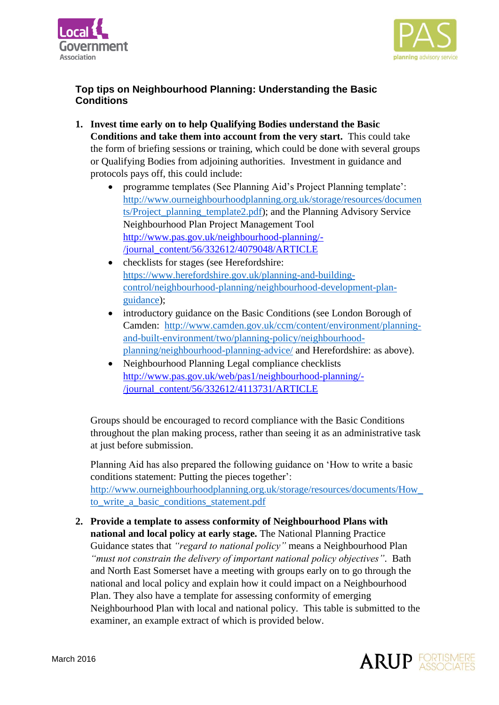



## **Top tips on Neighbourhood Planning: Understanding the Basic Conditions**

- **1. Invest time early on to help Qualifying Bodies understand the Basic Conditions and take them into account from the very start.** This could take the form of briefing sessions or training, which could be done with several groups or Qualifying Bodies from adjoining authorities. Investment in guidance and protocols pays off, this could include:
	- programme templates (See Planning Aid's Project Planning template': [http://www.ourneighbourhoodplanning.org.uk/storage/resources/documen](http://www.ourneighbourhoodplanning.org.uk/storage/resources/documents/Project_planning_template2.pdf) [ts/Project\\_planning\\_template2.pdf\)](http://www.ourneighbourhoodplanning.org.uk/storage/resources/documents/Project_planning_template2.pdf); and the Planning Advisory Service Neighbourhood Plan Project Management Tool [http://www.pas.gov.uk/neighbourhood-planning/-](http://www.pas.gov.uk/neighbourhood-planning/-/journal_content/56/332612/4079048/ARTICLE) [/journal\\_content/56/332612/4079048/ARTICLE](http://www.pas.gov.uk/neighbourhood-planning/-/journal_content/56/332612/4079048/ARTICLE)
	- checklists for stages (see Herefordshire: [https://www.herefordshire.gov.uk/planning-and-building](https://www.herefordshire.gov.uk/planning-and-building-control/neighbourhood-planning/neighbourhood-development-plan-guidance)[control/neighbourhood-planning/neighbourhood-development-plan](https://www.herefordshire.gov.uk/planning-and-building-control/neighbourhood-planning/neighbourhood-development-plan-guidance)[guidance\)](https://www.herefordshire.gov.uk/planning-and-building-control/neighbourhood-planning/neighbourhood-development-plan-guidance);
	- introductory guidance on the Basic Conditions (see London Borough of Camden: [http://www.camden.gov.uk/ccm/content/environment/planning](http://www.camden.gov.uk/ccm/content/environment/planning-and-built-environment/two/planning-policy/neighbourhood-planning/neighbourhood-planning-advice/)[and-built-environment/two/planning-policy/neighbourhood](http://www.camden.gov.uk/ccm/content/environment/planning-and-built-environment/two/planning-policy/neighbourhood-planning/neighbourhood-planning-advice/)[planning/neighbourhood-planning-advice/](http://www.camden.gov.uk/ccm/content/environment/planning-and-built-environment/two/planning-policy/neighbourhood-planning/neighbourhood-planning-advice/) and Herefordshire: as above).
	- Neighbourhood Planning Legal compliance checklists [http://www.pas.gov.uk/web/pas1/neighbourhood-planning/-](http://www.pas.gov.uk/web/pas1/neighbourhood-planning/-/journal_content/56/332612/4113731/ARTICLE) [/journal\\_content/56/332612/4113731/ARTICLE](http://www.pas.gov.uk/web/pas1/neighbourhood-planning/-/journal_content/56/332612/4113731/ARTICLE)

Groups should be encouraged to record compliance with the Basic Conditions throughout the plan making process, rather than seeing it as an administrative task at just before submission.

Planning Aid has also prepared the following guidance on 'How to write a basic conditions statement: Putting the pieces together': [http://www.ourneighbourhoodplanning.org.uk/storage/resources/documents/How\\_](http://www.ourneighbourhoodplanning.org.uk/storage/resources/documents/How_to_write_a_basic_conditions_statement.pdf) to write a basic conditions statement.pdf

**2. Provide a template to assess conformity of Neighbourhood Plans with national and local policy at early stage.** The National Planning Practice Guidance states that *"regard to national policy"* means a Neighbourhood Plan *"must not constrain the delivery of important national policy objectives"*. Bath and North East Somerset have a meeting with groups early on to go through the national and local policy and explain how it could impact on a Neighbourhood Plan. They also have a template for assessing conformity of emerging Neighbourhood Plan with local and national policy. This table is submitted to the examiner, an example extract of which is provided below.

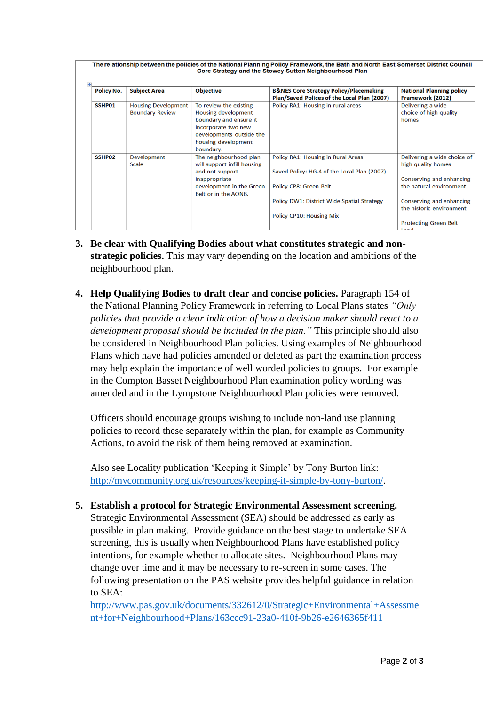| <b>Policy No.</b> | <b>Subject Area</b>        | <b>Objective</b>                                 | <b>B&amp;NES Core Strategy Policy/Placemaking</b><br>Plan/Saved Polices of the Local Plan (2007) | <b>National Planning policy</b><br>Framework (2012)  |
|-------------------|----------------------------|--------------------------------------------------|--------------------------------------------------------------------------------------------------|------------------------------------------------------|
| SSHP01            | <b>Housing Development</b> | To review the existing                           | Policy RA1: Housing in rural areas                                                               | Delivering a wide                                    |
|                   | <b>Boundary Review</b>     | <b>Housing development</b>                       |                                                                                                  | choice of high quality                               |
|                   |                            | boundary and ensure it                           |                                                                                                  | homes                                                |
|                   |                            | incorporate two new                              |                                                                                                  |                                                      |
|                   |                            | developments outside the                         |                                                                                                  |                                                      |
|                   |                            | housing development<br>boundary.                 |                                                                                                  |                                                      |
| SSHP02            | Development                | The neighbourhood plan                           | Policy RA1: Housing in Rural Areas                                                               | Delivering a wide choice of                          |
|                   | <b>Scale</b>               | will support infill housing                      |                                                                                                  | high quality homes                                   |
|                   |                            | and not support                                  | Saved Policy: HG.4 of the Local Plan (2007)                                                      |                                                      |
|                   |                            | inappropriate                                    |                                                                                                  | Conserving and enhancing                             |
|                   |                            | development in the Green<br>Belt or in the AONB. | Policy CP8: Green Belt                                                                           | the natural environment                              |
|                   |                            |                                                  | Policy DW1: District Wide Spatial Strategy                                                       | Conserving and enhancing<br>the historic environment |
|                   |                            |                                                  | Policy CP10: Housing Mix                                                                         |                                                      |
|                   |                            |                                                  |                                                                                                  | <b>Protecting Green Belt</b>                         |
|                   |                            |                                                  |                                                                                                  |                                                      |

- **3. Be clear with Qualifying Bodies about what constitutes strategic and nonstrategic policies.** This may vary depending on the location and ambitions of the neighbourhood plan.
- **4. Help Qualifying Bodies to draft clear and concise policies.** Paragraph 154 of the National Planning Policy Framework in referring to Local Plans states *"Only policies that provide a clear indication of how a decision maker should react to a development proposal should be included in the plan."* This principle should also be considered in Neighbourhood Plan policies. Using examples of Neighbourhood Plans which have had policies amended or deleted as part the examination process may help explain the importance of well worded policies to groups. For example in the Compton Basset Neighbourhood Plan examination policy wording was amended and in the Lympstone Neighbourhood Plan policies were removed.

Officers should encourage groups wishing to include non-land use planning policies to record these separately within the plan, for example as Community Actions, to avoid the risk of them being removed at examination.

Also see Locality publication 'Keeping it Simple' by Tony Burton link: [http://mycommunity.org.uk/resources/keeping-it-simple-by-tony-burton/.](http://mycommunity.org.uk/resources/keeping-it-simple-by-tony-burton/)

**5. Establish a protocol for Strategic Environmental Assessment screening.**  Strategic Environmental Assessment (SEA) should be addressed as early as possible in plan making. Provide guidance on the best stage to undertake SEA screening, this is usually when Neighbourhood Plans have established policy intentions, for example whether to allocate sites. Neighbourhood Plans may change over time and it may be necessary to re-screen in some cases. The following presentation on the PAS website provides helpful guidance in relation to SEA:

[http://www.pas.gov.uk/documents/332612/0/Strategic+Environmental+Assessme](http://www.pas.gov.uk/documents/332612/0/Strategic+Environmental+Assessment+for+Neighbourhood+Plans/163ccc91-23a0-410f-9b26-e2646365f411) [nt+for+Neighbourhood+Plans/163ccc91-23a0-410f-9b26-e2646365f411](http://www.pas.gov.uk/documents/332612/0/Strategic+Environmental+Assessment+for+Neighbourhood+Plans/163ccc91-23a0-410f-9b26-e2646365f411)